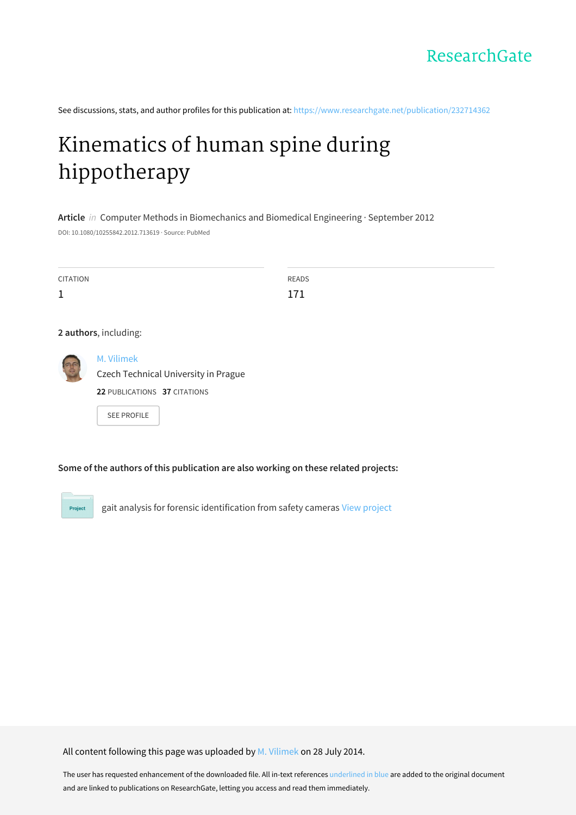

See discussions, stats, and author profiles for this publication at: [https://www.researchgate.net/publication/232714362](https://www.researchgate.net/publication/232714362_Kinematics_of_human_spine_during_hippotherapy?enrichId=rgreq-a22cee966efbdfb0ae5c8eef8d268c8b-XXX&enrichSource=Y292ZXJQYWdlOzIzMjcxNDM2MjtBUzoxMjM4MTg0NTAzNjIzNjlAMTQwNjUzMjAyNzk3Nw%3D%3D&el=1_x_2&_esc=publicationCoverPdf)

# Kinematics of human spine during [hippotherapy](https://www.researchgate.net/publication/232714362_Kinematics_of_human_spine_during_hippotherapy?enrichId=rgreq-a22cee966efbdfb0ae5c8eef8d268c8b-XXX&enrichSource=Y292ZXJQYWdlOzIzMjcxNDM2MjtBUzoxMjM4MTg0NTAzNjIzNjlAMTQwNjUzMjAyNzk3Nw%3D%3D&el=1_x_3&_esc=publicationCoverPdf)

**Article** in Computer Methods in Biomechanics and Biomedical Engineering · September 2012 DOI: 10.1080/10255842.2012.713619 · Source: PubMed

| <b>CITATION</b>       |                                      | <b>READS</b> |
|-----------------------|--------------------------------------|--------------|
| $\mathbf{1}$          |                                      | 171          |
|                       |                                      |              |
| 2 authors, including: |                                      |              |
| 3                     | M. Vilimek                           |              |
|                       | Czech Technical University in Prague |              |
|                       | 22 PUBLICATIONS 37 CITATIONS         |              |

SEE [PROFILE](https://www.researchgate.net/profile/M_Vilimek?enrichId=rgreq-a22cee966efbdfb0ae5c8eef8d268c8b-XXX&enrichSource=Y292ZXJQYWdlOzIzMjcxNDM2MjtBUzoxMjM4MTg0NTAzNjIzNjlAMTQwNjUzMjAyNzk3Nw%3D%3D&el=1_x_7&_esc=publicationCoverPdf)

# **Some of the authors of this publication are also working on these related projects:**

Project

gait analysis for forensic identification from safety cameras View [project](https://www.researchgate.net/project/gait-analysis-for-forensic-identification-from-safety-cameras?enrichId=rgreq-a22cee966efbdfb0ae5c8eef8d268c8b-XXX&enrichSource=Y292ZXJQYWdlOzIzMjcxNDM2MjtBUzoxMjM4MTg0NTAzNjIzNjlAMTQwNjUzMjAyNzk3Nw%3D%3D&el=1_x_9&_esc=publicationCoverPdf)

All content following this page was uploaded by M. [Vilimek](https://www.researchgate.net/profile/M_Vilimek?enrichId=rgreq-a22cee966efbdfb0ae5c8eef8d268c8b-XXX&enrichSource=Y292ZXJQYWdlOzIzMjcxNDM2MjtBUzoxMjM4MTg0NTAzNjIzNjlAMTQwNjUzMjAyNzk3Nw%3D%3D&el=1_x_10&_esc=publicationCoverPdf) on 28 July 2014.

The user has requested enhancement of the downloaded file. All in-text references underlined in blue are added to the original document and are linked to publications on ResearchGate, letting you access and read them immediately.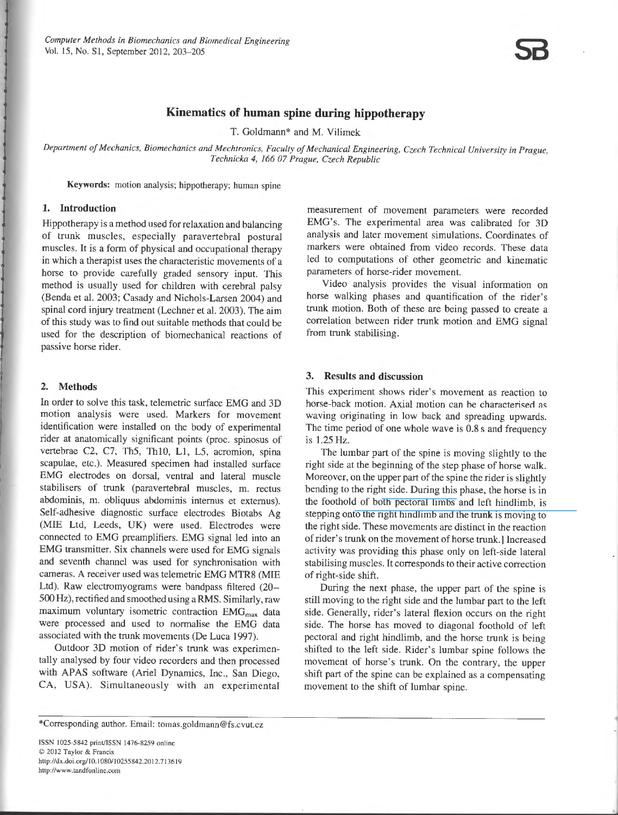

# **Kinematics of human spine during hippotherapy**

T. Goldmann\* and M. Vilimek

*Department of Mechanics, Biomechanics and Mechtronics, Faculty of Mechanical Engineering, Czech Technical University in Prague, Technicka 4, 166 07 Prague, Czech Republic* 

Keywords: motion analysis; hippotherapy; human spine

## 1. lntroduction

Hippotherapy is a method used for relaxation and balancing of trunk muscles, especially paravertebral postural muscles. It is a form of physical and occupational therapy in which a therapist uses the characteristic movements of a horse to provide carefully graded sensory input. This method is usually used for children with cerebral palsy (Benda et al. 2003; Casady and Nichols-Larsen 2004) and spinal cord injury treatment (Lechner et al. 2003). The aim of this study was to find out suitable methods that could be used for the description of biomechanical reactions of passive horse rider.

#### 2. Methods

In order to solve this task, telemetric surface EMG and 3D motion analysis were used. Markers for movement identification were installed on the body of experimental rider at anatomically significant points (proc. spinosus of vertebrae C2, C7, Th5, ThlO, LI, L5, acromion, spina scapulae, etc.). Measured specimen had installed surface EMO electrodes on dorsal, ventral and lateral muscle stabilisers of trunk (paravertebral muscles, m. rectus abdominis, m. obliquus abdominis internus et extemus). Self-adhesive diagnostic surface electrodes Biotabs Ag (MIE Ltd, Leeds, UK) were used. Electrodes were connected to EMO preamplifiers. EMO signal led into an EMO transmitter. Six channels were used for EMO signals and seventh channel was used for synchronisation with cameras. A receiver used was telemetrie EMO MTR8 (MlE Ltd). Raw electromyograms were bandpass filtered (20- 500 Hz), rectified and smoothed using a RMS. Similarly, raw maximum voluntary isometric contraction  $EMG<sub>max</sub>$  data were processed and used to normalise the EMO data associated with the trunk movements (De Luca 1997).

Outdoor 3D motion of rider's trunk was experimentally analysed by four video recorders and then processed with APAS software (Ariel Dynamics, Inc., San Diego, CA, USA). Simultaneously with an experimental measurement of movement parameters were recorded EMG's. The experimental area was calibrated for 3D analysis and Jater movement simulations. Coordinates of markers were obtained from video records. These data led to computations of other geometrie and kinematic parameters of horse-rider movement.

Video analysis provides the visual information on horse walking phases and quantification of the rider's trunk motion. Both of these are being passed to create a correlation between rider trunk motion and EMO signal from trunk stabilising.

### 3. Results and discussion

This experiment shows rider's movement as reaction to horse-back motion. Axial motion can be characterised as waving originating in low back and spreading upwards. The time period of one whole wave is 0.8 s and frequency is 1.25 Hz.

The lumbar part of the spine is moving slightly to the right side at the beginning of the step phase of horse walk. Moreover, on the upper part of the spine the rider is slightly bending to the right side. During this phase, the horse is in the foothold of b[oth pectoral limbs](https://www.researchgate.net/publication/6211069_The_short-term_effect_of_hippotherapy_on_spasticity_in_patients_with_spinal_cord_injury?el=1_x_8&enrichId=rgreq-a22cee966efbdfb0ae5c8eef8d268c8b-XXX&enrichSource=Y292ZXJQYWdlOzIzMjcxNDM2MjtBUzoxMjM4MTg0NTAzNjIzNjlAMTQwNjUzMjAyNzk3Nw==) and left hindlimb, is stepping on[to the right hindlimb and the trunk is moving to](https://www.researchgate.net/publication/6737587_The_Effect_of_Hippotherapy_on_Ten_Children_with_Cerebral_Palsy?el=1_x_8&enrichId=rgreq-a22cee966efbdfb0ae5c8eef8d268c8b-XXX&enrichSource=Y292ZXJQYWdlOzIzMjcxNDM2MjtBUzoxMjM4MTg0NTAzNjIzNjlAMTQwNjUzMjAyNzk3Nw==)  the right side. These movements are distinct in the reaction of rider' s trunk on the movement of horse trunk.] lncreased activity was providing this phase only on left-side lateral stabilising muscles. lt corresponds to their active correction of right-side shift.

During the next phase, the upper part of the spine is still moving to the right side and the lumbar part to the left side. Generally, rider's lateral flexion occurs on the right side. The horse has moved to diagonal foothold of left pectoral and right hindlimb, and the horse trunk is being shifted to the left side. Rider's lumbar spine follows the movement of horse's trunk. On the contrary, the upper shift part of the spine can be explained as a compensating movement to the shift of lumbar spine.

\*Corresponding author. Email: tomas.goldmann@fs.cvut.cz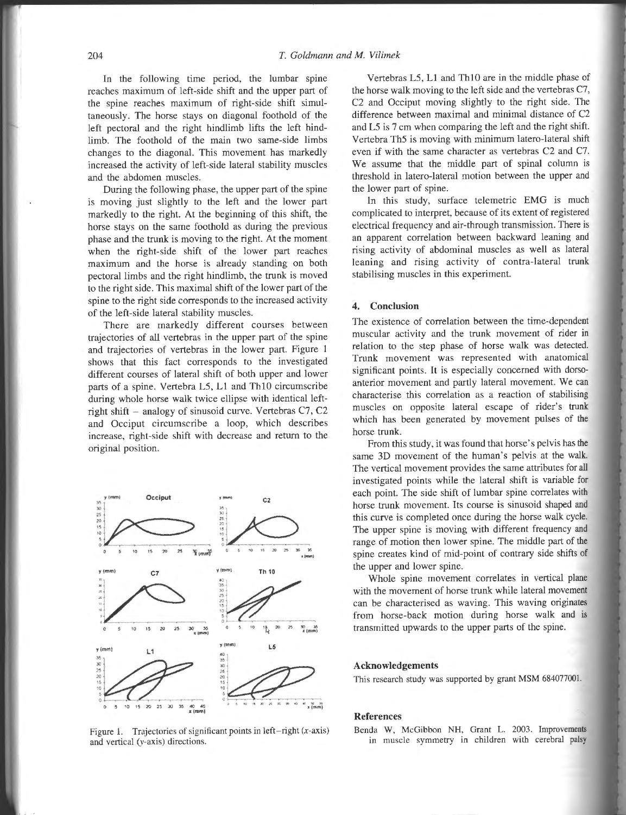In the following time period, the lumbar spine reaches maximum of left-side shift and the upper part of the spine reaches maximum of right-side shift simultaneously. The horse stays on diagonal foothold of the left pectoral and the right hindlimb lifts the left hindlimb. The foothold of the main two same-side limbs changes to the diagonal. This movement has markedly increased the activity of left-side lateral stability muscles and the abdomen muscles.

During the following phase, the upper part of the spine is moving just slightly to the left and the lower part markedly to the right. At the beginning of this shift, the horse stays on the same foothold as during the previous phase and the trunk is moving to the right. At the moment when the right-side shift of the lower part reaches maximum and the horse is already standing on both pectoral limbs and the right hindlimb, the trunk is moved to the right side. This maximal shift of the lower part of the spine to the right side corresponds to the increased activity of the left-side lateral stability muscles.

There are markedly different courses between trajectories of all vertebras in the upper part of the spine and trajectories of vertebras in the lower part. Figure I shows that this fact corresponds to the investigated different courses of lateral shift of both upper and lower parts of a spine. Vertebra L5, L1 and Th10 circumscribe during whole horse walk twice ellipse with identical leftright shift - analogy of sinusoid curve. Yertebras C7, C2 and Occiput circumscribe a loop, which describes increase, right-side shift with decrease and retum to the original position.



Figure 1. Trajectories of significant points in left-right (x-axis) and vertical (y-axis) directions.

Yertebras L5, L1 and ThlO are in the middle phase of the horse walk moving to the Ieft side and the vertebras C7, C2 and Occiput moving slightly to the right side. The difference between maximal and minimal distance of C2 and L5 is 7 cm when comparing the left and the right shift. Yertebra Th5 is moving with minimum latero-lateral shift even if with the same character as vertebras C2 and C7. We assume that the middle part of spínal column is threshold in latero-lateral motion between the upper and the lower part of spine.

In this study, surface telemetrie EMG is much complicated to interpret, because of its extent of registered electrical frequency and air-through transrnission. There is an apparent correlation between backward leaning and rising activity of abdominal muscles as well as lateral leaning and rising activity of contra-lateral trunk stabilising muscles in this experiment.

#### 4. Conclusion

The existence of correlation between the time-dependent muscular activity and the trunk movement of rider in relation to the step phase of horse walk was detected. Trunk movement was represented with anatomical significant points. It is especially concerned with dorsoanterior movement and partly lateral movement. We can characterise this correlation as a reaction of stabilising muscles on opposite lateral escape of rider's trunk which has been generated by movement pulses of the horse trunk.

From this study, it was found that horse's pelvis has the same 3D movement of the human's pelvis at the walk. The vertical movement provides the same attributes for all investigated points while the lateral shift is variable for each point. The side shift of lumbar spine correlates with horse trunk movement. Its course is sinusoid shaped and this curve is completed once during the horse walk cycle. The upper spine is moving with different frequency and range of motion then lower spine. The middle part of the spine creates kind of mid-point of contrary side shifts of the upper and lower spine.

Whole spine movement correlates in vertical plane with the movement of horse trunk while lateral movement can be characterised as waving. This waving originates from horse-back motion during horse walk and is transmitted upwards to the upper parts of the spine.

#### Acknowledgements

This research study was supported by grant MSM 684077001.

#### References

Benda W, McGibbon NH, Grant L. 2003. Improvements in muscle symmetry in children with cerebral palsy